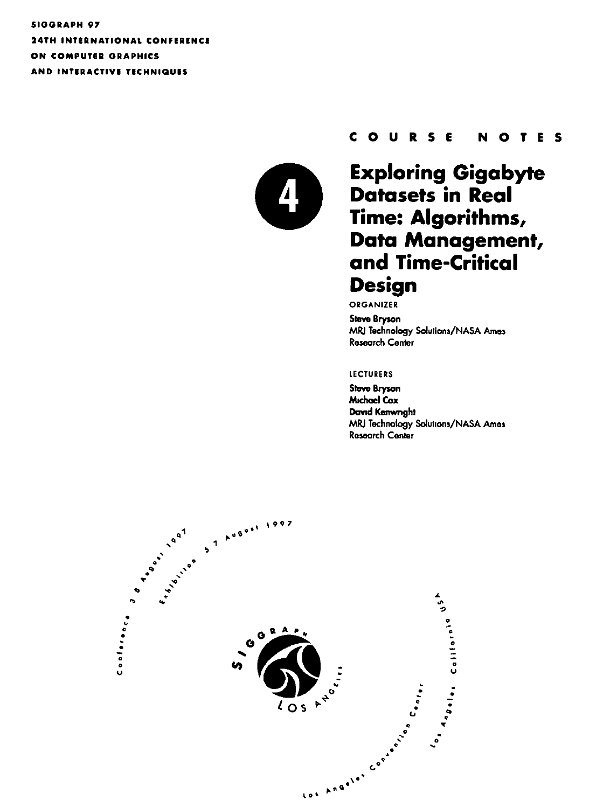**SIGGRAPH 97 24TH INTERNATIONAL CONFERENCE** ON COMPUTER GRAPHICS AND INTERACTIVE TECHNIQUES



#### COURSE **NOTES**

### **Exploring Gigabyte Datasets in Real** Time: Algorithms, Data Management, and Time-Critical **Design**

ORGANIZER

**Steve Bryson** MRJ Technology Solutions/NASA Ames **Research Center** 

#### **LECTURERS**

**Steve Bryson Michael Cox** David Kenwnght MRJ Technology Solutions/NASA Ames **Research Center** 

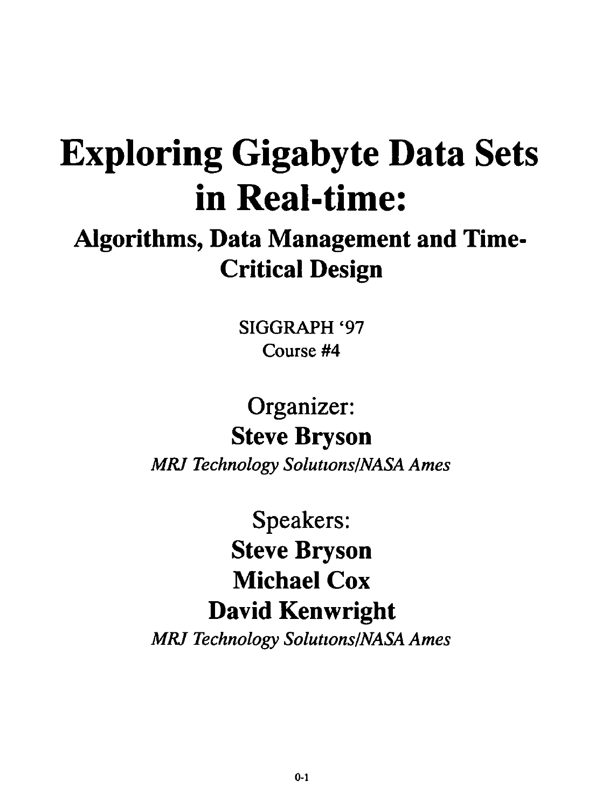# Exploring Gigabyte Data Sets in Real-time:

# Algorithms, Data Management and Time-Critical Design

SIGGRAPH '97 Course #4

# Organizer: Steve Bryson

*MRJ Technology Solutwns/NASA Ames* 

Speakers: Steve Bryson Michael Cox David Kenwright

**MRJ Technology Solutions/NASA Ames**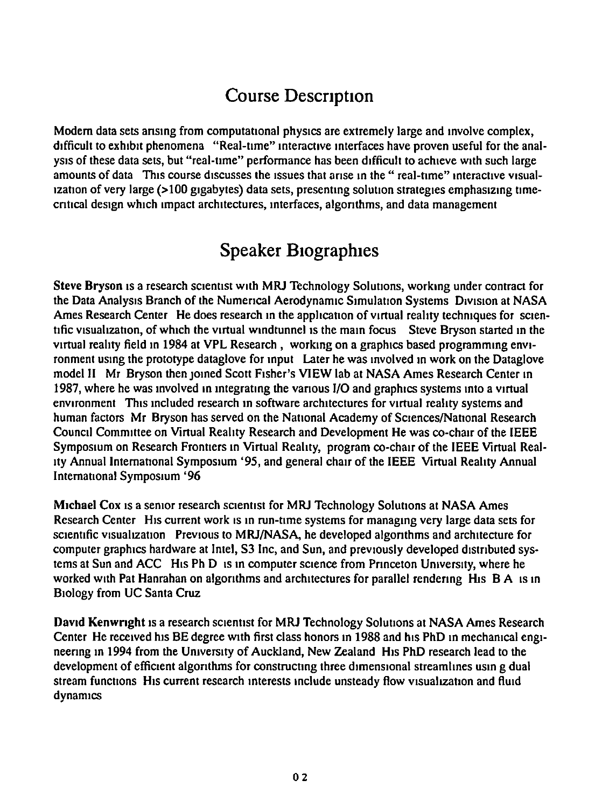### Course Description

Modern data sets arising from computational physics are extremely large and involve complex, difficult to exhibit phenomena "Real-time" interactive interfaces have proven useful for the analysis of these data sets, but "real-ume" performance has been difficult to achieve w1th such large amounts of data This course discusses the issues that arise in the "real-time" interactive visualization of very large (>100 gigabytes) data sets, presenting solution strategies emphasizing timecntical design which impact architectures, interfaces, algorithms, and data management

### Speaker Biographies

Steve Bryson is a research scientist with MRJ Technology Solutions, working under contract for the Data Analysis Branch of the Numerical Aerodynamic Simulation Systems Division at NASA Ames Research Center He does research in the application of virtual reality techniques for scientific visualization, of which the virtual windtunnel is the main focus Steve Bryson started in the virtual reality field in 1984 at VPL Research, working on a graphics based programming environment using the prototype dataglove for input Later he was involved in work on the Dataglove model II Mr Bryson then joined Scott Fisher's VIEW lab at NASA Ames Research Center in 1987, where he was involved in integrating the various I/O and graphics systems into a virtual environment This included research in software architectures for virtual reality systems and human factors Mr Bryson has served on the National Academy of Sciences/National Research Council Committee on Virtual Reality Research and Development He was co-chair of the IEEE Symposium on Research Frontiers in Virtual Reality, program co-chair of the IEEE Virtual Real-Ity Annual International Symposium '95, and general chair of the IEEE Virtual Reality Annual International Symposium '96

Michael Cox is a senior research scientist for MRJ Technology Solutions at NASA Ames Research Center His current work is in run-time systems for managing very large data sets for scientific visualization Previous to MRJ/NASA, he developed algorithms and architecture for computer graphics hardware at Intel, S3 Inc, and Sun, and previously developed distributed systems at Sun and ACC H1s Ph D 1s in computer science from Princeton University, where he worked with Pat Hanrahan on algorithms and architectures for parallel rendering H1s B A 1s in Biology from UC Santa Cruz

David Kenwnght 1s a research scientist for MRJ Technology Solutions at NASA Ames Research Center He received his BE degree with first class honors in 1988 and his PhD in mechanical engineering in 1994 from the University of Auckland, New Zealand His PhD research lead to the development of efficient algonthms for constructing three dimensional streamlines usm g dual stream functions His current research interests include unsteady flow visualization and fluid dynamics